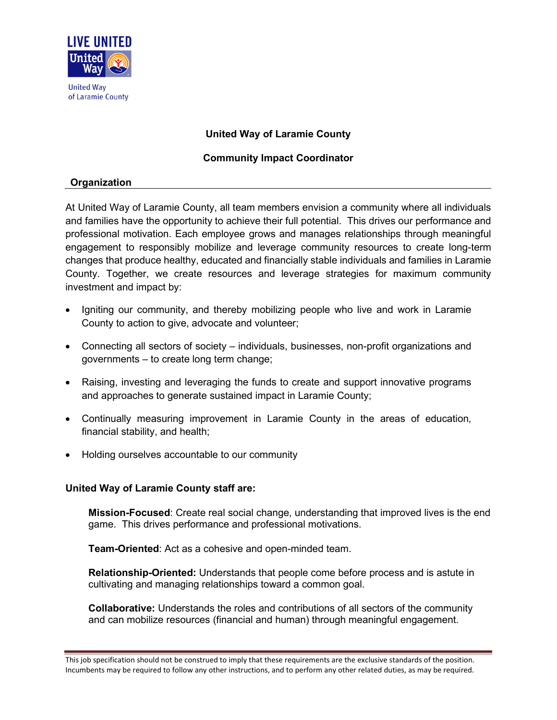

# **United Way of Laramie County**

## **Community Impact Coordinator**

## **Organization**

At United Way of Laramie County, all team members envision a community where all individuals and families have the opportunity to achieve their full potential. This drives our performance and professional motivation. Each employee grows and manages relationships through meaningful engagement to responsibly mobilize and leverage community resources to create long-term changes that produce healthy, educated and financially stable individuals and families in Laramie County. Together, we create resources and leverage strategies for maximum community investment and impact by:

- Igniting our community, and thereby mobilizing people who live and work in Laramie County to action to give, advocate and volunteer;
- Connecting all sectors of society individuals, businesses, non-profit organizations and governments – to create long term change;
- Raising, investing and leveraging the funds to create and support innovative programs and approaches to generate sustained impact in Laramie County;
- Continually measuring improvement in Laramie County in the areas of education, financial stability, and health;
- Holding ourselves accountable to our community

## **United Way of Laramie County staff are:**

**Mission-Focused**: Create real social change, understanding that improved lives is the end game. This drives performance and professional motivations.

**Team-Oriented**: Act as a cohesive and open-minded team.

**Relationship-Oriented:** Understands that people come before process and is astute in cultivating and managing relationships toward a common goal.

**Collaborative:** Understands the roles and contributions of all sectors of the community and can mobilize resources (financial and human) through meaningful engagement.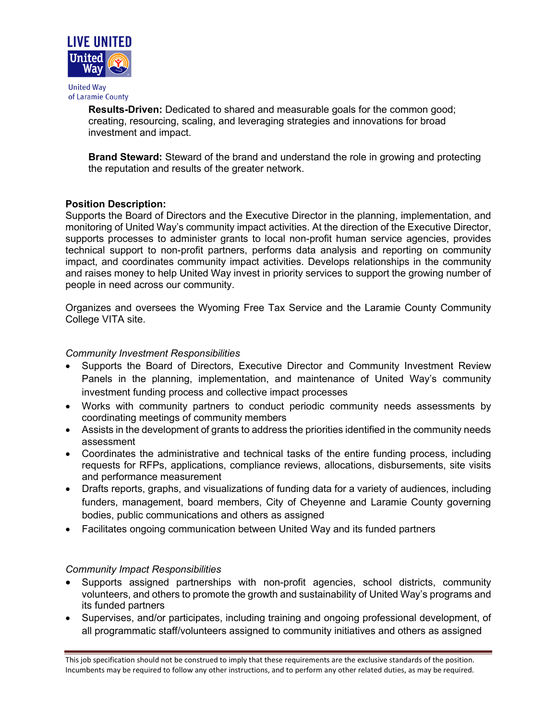

of Laramie County

**Results-Driven:** Dedicated to shared and measurable goals for the common good; creating, resourcing, scaling, and leveraging strategies and innovations for broad investment and impact.

**Brand Steward:** Steward of the brand and understand the role in growing and protecting the reputation and results of the greater network.

## **Position Description:**

Supports the Board of Directors and the Executive Director in the planning, implementation, and monitoring of United Way's community impact activities. At the direction of the Executive Director, supports processes to administer grants to local non-profit human service agencies, provides technical support to non-profit partners, performs data analysis and reporting on community impact, and coordinates community impact activities. Develops relationships in the community and raises money to help United Way invest in priority services to support the growing number of people in need across our community.

Organizes and oversees the Wyoming Free Tax Service and the Laramie County Community College VITA site.

## *Community Investment Responsibilities*

- Supports the Board of Directors, Executive Director and Community Investment Review Panels in the planning, implementation, and maintenance of United Way's community investment funding process and collective impact processes
- Works with community partners to conduct periodic community needs assessments by coordinating meetings of community members
- Assists in the development of grants to address the priorities identified in the community needs assessment
- Coordinates the administrative and technical tasks of the entire funding process, including requests for RFPs, applications, compliance reviews, allocations, disbursements, site visits and performance measurement
- Drafts reports, graphs, and visualizations of funding data for a variety of audiences, including funders, management, board members, City of Cheyenne and Laramie County governing bodies, public communications and others as assigned
- Facilitates ongoing communication between United Way and its funded partners

## *Community Impact Responsibilities*

- Supports assigned partnerships with non-profit agencies, school districts, community volunteers, and others to promote the growth and sustainability of United Way's programs and its funded partners
- Supervises, and/or participates, including training and ongoing professional development, of all programmatic staff/volunteers assigned to community initiatives and others as assigned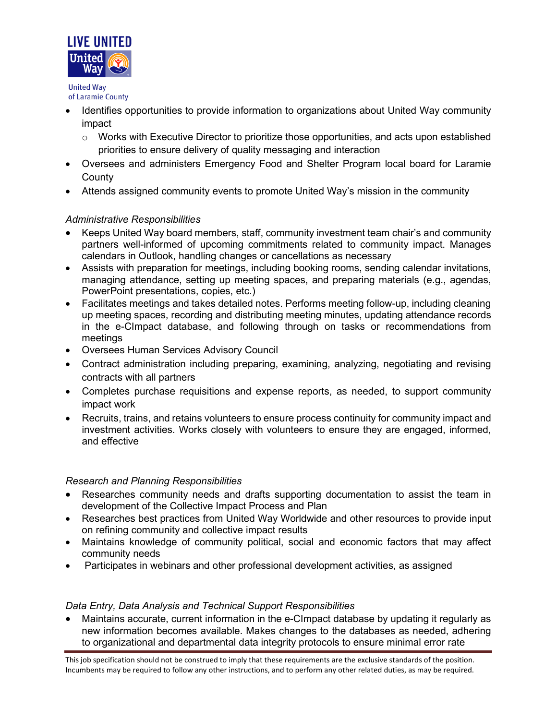

of Laramie County

- Identifies opportunities to provide information to organizations about United Way community impact
	- $\circ$  Works with Executive Director to prioritize those opportunities, and acts upon established priorities to ensure delivery of quality messaging and interaction
- Oversees and administers Emergency Food and Shelter Program local board for Laramie **County**
- Attends assigned community events to promote United Way's mission in the community

# *Administrative Responsibilities*

- Keeps United Way board members, staff, community investment team chair's and community partners well-informed of upcoming commitments related to community impact. Manages calendars in Outlook, handling changes or cancellations as necessary
- Assists with preparation for meetings, including booking rooms, sending calendar invitations, managing attendance, setting up meeting spaces, and preparing materials (e.g., agendas, PowerPoint presentations, copies, etc.)
- Facilitates meetings and takes detailed notes. Performs meeting follow-up, including cleaning up meeting spaces, recording and distributing meeting minutes, updating attendance records in the e-CImpact database, and following through on tasks or recommendations from meetings
- Oversees Human Services Advisory Council
- Contract administration including preparing, examining, analyzing, negotiating and revising contracts with all partners
- Completes purchase requisitions and expense reports, as needed, to support community impact work
- Recruits, trains, and retains volunteers to ensure process continuity for community impact and investment activities. Works closely with volunteers to ensure they are engaged, informed, and effective

## *Research and Planning Responsibilities*

- Researches community needs and drafts supporting documentation to assist the team in development of the Collective Impact Process and Plan
- Researches best practices from United Way Worldwide and other resources to provide input on refining community and collective impact results
- Maintains knowledge of community political, social and economic factors that may affect community needs
- Participates in webinars and other professional development activities, as assigned

## *Data Entry, Data Analysis and Technical Support Responsibilities*

• Maintains accurate, current information in the e-CImpact database by updating it regularly as new information becomes available. Makes changes to the databases as needed, adhering to organizational and departmental data integrity protocols to ensure minimal error rate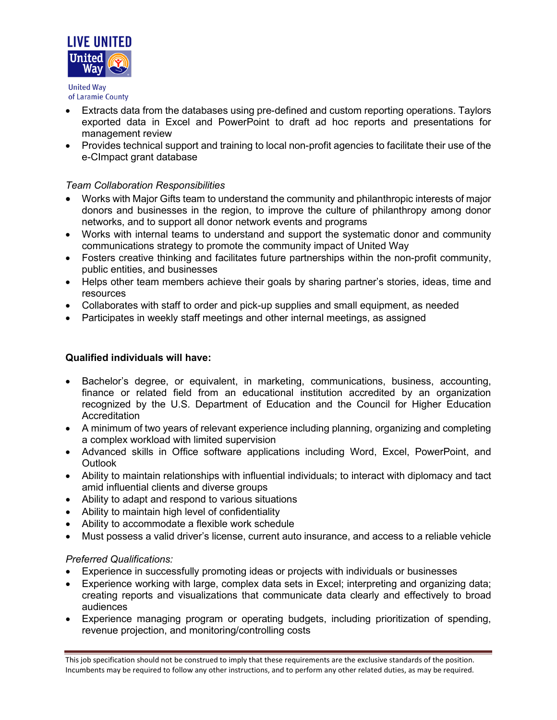

of Laramie County

- Extracts data from the databases using pre-defined and custom reporting operations. Taylors exported data in Excel and PowerPoint to draft ad hoc reports and presentations for management review
- Provides technical support and training to local non-profit agencies to facilitate their use of the e-CImpact grant database

## *Team Collaboration Responsibilities*

- Works with Major Gifts team to understand the community and philanthropic interests of major donors and businesses in the region, to improve the culture of philanthropy among donor networks, and to support all donor network events and programs
- Works with internal teams to understand and support the systematic donor and community communications strategy to promote the community impact of United Way
- Fosters creative thinking and facilitates future partnerships within the non-profit community, public entities, and businesses
- Helps other team members achieve their goals by sharing partner's stories, ideas, time and resources
- Collaborates with staff to order and pick-up supplies and small equipment, as needed
- Participates in weekly staff meetings and other internal meetings, as assigned

## **Qualified individuals will have:**

- Bachelor's degree, or equivalent, in marketing, communications, business, accounting, finance or related field from an educational institution accredited by an organization recognized by the U.S. Department of Education and the Council for Higher Education Accreditation
- A minimum of two years of relevant experience including planning, organizing and completing a complex workload with limited supervision
- Advanced skills in Office software applications including Word, Excel, PowerPoint, and **Outlook**
- Ability to maintain relationships with influential individuals; to interact with diplomacy and tact amid influential clients and diverse groups
- Ability to adapt and respond to various situations
- Ability to maintain high level of confidentiality
- Ability to accommodate a flexible work schedule
- Must possess a valid driver's license, current auto insurance, and access to a reliable vehicle

## *Preferred Qualifications:*

- Experience in successfully promoting ideas or projects with individuals or businesses
- Experience working with large, complex data sets in Excel; interpreting and organizing data; creating reports and visualizations that communicate data clearly and effectively to broad audiences
- Experience managing program or operating budgets, including prioritization of spending, revenue projection, and monitoring/controlling costs